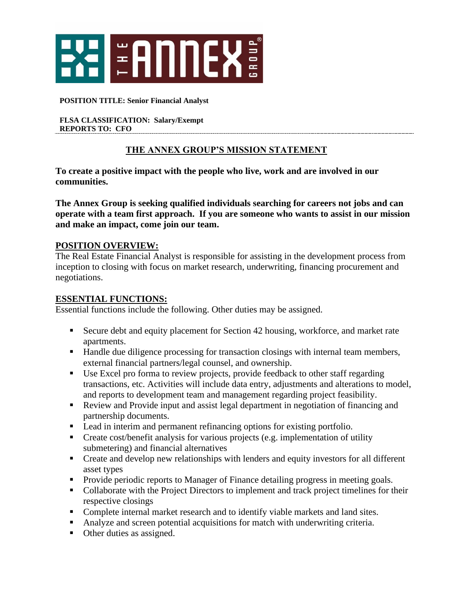

#### **POSITION TITLE: Senior Financial Analyst**

**FLSA CLASSIFICATION: Salary/Exempt REPORTS TO: CFO** 

### **THE ANNEX GROUP'S MISSION STATEMENT**

**To create a positive impact with the people who live, work and are involved in our communities.**

**The Annex Group is seeking qualified individuals searching for careers not jobs and can operate with a team first approach. If you are someone who wants to assist in our mission and make an impact, come join our team.** 

#### **POSITION OVERVIEW:**

The Real Estate Financial Analyst is responsible for assisting in the development process from inception to closing with focus on market research, underwriting, financing procurement and negotiations.

#### **ESSENTIAL FUNCTIONS:**

Essential functions include the following. Other duties may be assigned.

- Secure debt and equity placement for Section 42 housing, workforce, and market rate apartments.
- Handle due diligence processing for transaction closings with internal team members, external financial partners/legal counsel, and ownership.
- Use Excel pro forma to review projects, provide feedback to other staff regarding transactions, etc. Activities will include data entry, adjustments and alterations to model, and reports to development team and management regarding project feasibility.
- Review and Provide input and assist legal department in negotiation of financing and partnership documents.
- Lead in interim and permanent refinancing options for existing portfolio.
- Create cost/benefit analysis for various projects (e.g. implementation of utility submetering) and financial alternatives
- Create and develop new relationships with lenders and equity investors for all different asset types
- Provide periodic reports to Manager of Finance detailing progress in meeting goals.
- Collaborate with the Project Directors to implement and track project timelines for their respective closings
- Complete internal market research and to identify viable markets and land sites.
- Analyze and screen potential acquisitions for match with underwriting criteria.
- Other duties as assigned.